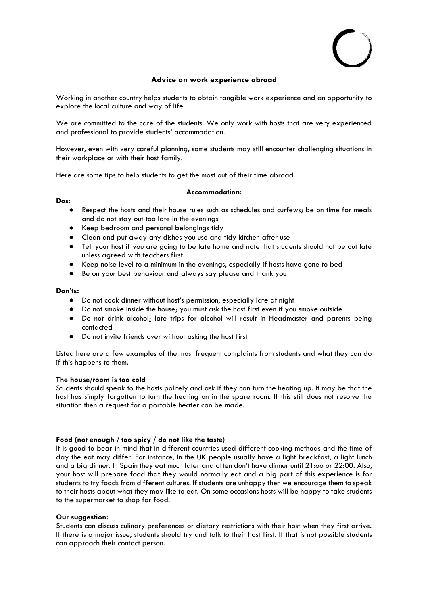# **Advice on work experience abroad**

Working in another country helps students to obtain tangible work experience and an opportunity to explore the local culture and way of life.

We are committed to the care of the students. We only work with hosts that are very experienced and professional to provide students' accommodation.

However, even with very careful planning, some students may still encounter challenging situations in their workplace or with their host family.

Here are some tips to help students to get the most out of their time abroad.

# **Accommodation:**

# **Dos:**

- Respect the hosts and their house rules such as schedules and curfews; be on time for meals and do not stay out too late in the evenings
- Keep bedroom and personal belongings tidy
- Clean and put away any dishes you use and tidy kitchen after use
- Tell your host if you are going to be late home and note that students should not be out late unless agreed with teachers first
- Keep noise level to a minimum in the evenings, especially if hosts have gone to bed
- Be on your best behaviour and always say please and thank you

# **Don'ts:**

- Do not cook dinner without host's permission, especially late at night
- Do not smoke inside the house; you must ask the host first even if you smoke outside
- Do not drink alcohol; late trips for alcohol will result in Headmaster and parents being contacted
- Do not invite friends over without asking the host first

Listed here are a few examples of the most frequent complaints from students and what they can do if this happens to them.

# **The house/room is too cold**

Students should speak to the hosts politely and ask if they can turn the heating up. It may be that the host has simply forgotten to turn the heating on in the spare room. If this still does not resolve the situation then a request for a portable heater can be made.

# **Food (not enough / too spicy / do not like the taste)**

It is good to bear in mind that in different countries used different cooking methods and the time of day the eat may differ. For instance, In the UK people usually have a light breakfast, a light lunch and a big dinner. In Spain they eat much later and often don't have dinner until 21:oo or 22:00. Also, your host will prepare food that they would normally eat and a big part of this experience is for students to try foods from different cultures. If students are unhappy then we encourage them to speak to their hosts about what they may like to eat. On some occasions hosts will be happy to take students to the supermarket to shop for food.

# **Our suggestion:**

Students can discuss culinary preferences or dietary restrictions with their host when they first arrive. If there is a major issue, students should try and talk to their host first. If that is not possible students can approach their contact person.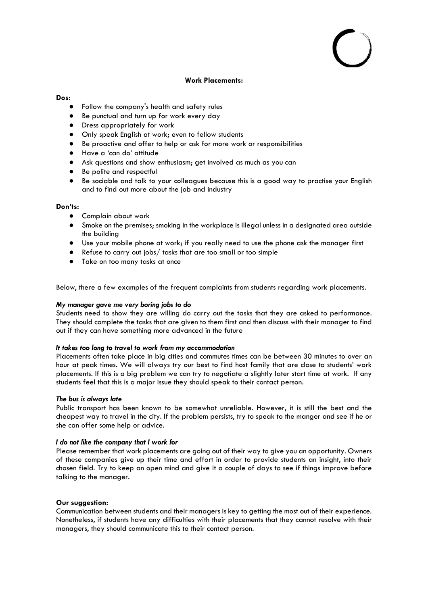#### **Work Placements:**

#### **Dos:**

- Follow the company's health and safety rules
- Be punctual and turn up for work every day
- Dress appropriately for work
- Only speak English at work; even to fellow students
- Be proactive and offer to help or ask for more work or responsibilities
- Have a 'can do' attitude
- Ask questions and show enthusiasm; get involved as much as you can
- Be polite and respectful
- Be sociable and talk to your colleagues because this is a good way to practise your English and to find out more about the job and industry

### **Don'ts:**

- Complain about work
- Smoke on the premises; smoking in the workplace is illegal unless in a designated area outside the building
- Use your mobile phone at work; if you really need to use the phone ask the manager first
- Refuse to carry out jobs/ tasks that are too small or too simple
- Take on too many tasks at once

Below, there a few examples of the frequent complaints from students regarding work placements.

#### *My manager gave me very boring jobs to do*

Students need to show they are willing do carry out the tasks that they are asked to performance. They should complete the tasks that are given to them first and then discuss with their manager to find out if they can have something more advanced in the future

### *It takes too long to travel to work from my accommodation*

Placements often take place in big cities and commutes times can be between 30 minutes to over an hour at peak times. We will always try our best to find host family that are close to students' work placements. If this is a big problem we can try to negotiate a slightly later start time at work. If any students feel that this is a major issue they should speak to their contact person.

#### *The bus is always late*

Public transport has been known to be somewhat unreliable. However, it is still the best and the cheapest way to travel in the city. If the problem persists, try to speak to the manger and see if he or she can offer some help or advice.

### *I do not like the company that I work for*

Please remember that work placements are going out of their way to give you an opportunity. Owners of these companies give up their time and effort in order to provide students an insight, into their chosen field. Try to keep an open mind and give it a couple of days to see if things improve before talking to the manager.

### **Our suggestion:**

Communication between students and their managers is key to getting the most out of their experience. Nonetheless, if students have any difficulties with their placements that they cannot resolve with their managers, they should communicate this to their contact person.